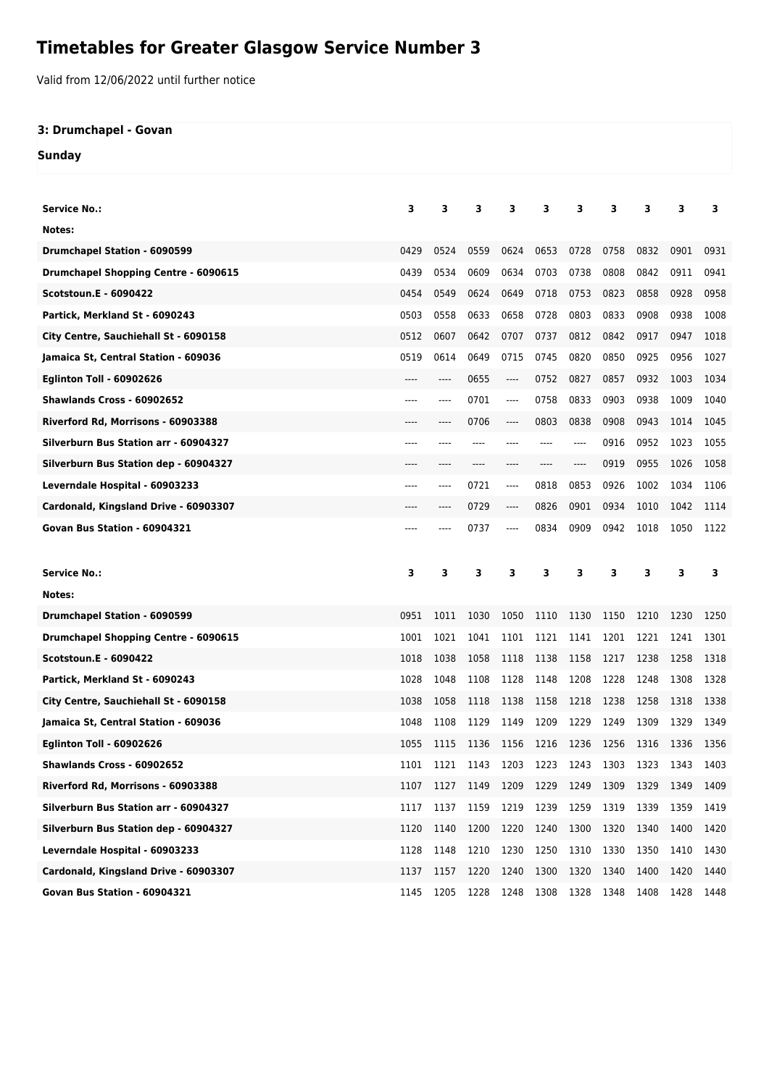## **Timetables for Greater Glasgow Service Number 3**

Valid from 12/06/2022 until further notice

## **3: Drumchapel - Govan**

**Sunday**

| <b>Service No.:</b>                         | 3    | 3     | 3    | 3    | 3    | 3    | 3    | 3                             | 3    | 3    |
|---------------------------------------------|------|-------|------|------|------|------|------|-------------------------------|------|------|
| Notes:                                      |      |       |      |      |      |      |      |                               |      |      |
| <b>Drumchapel Station - 6090599</b>         | 0429 | 0524  | 0559 | 0624 | 0653 | 0728 | 0758 | 0832                          | 0901 | 0931 |
| <b>Drumchapel Shopping Centre - 6090615</b> | 0439 | 0534  | 0609 | 0634 | 0703 | 0738 | 0808 | 0842                          | 0911 | 0941 |
| <b>Scotstoun.E - 6090422</b>                | 0454 | 0549  | 0624 | 0649 | 0718 | 0753 | 0823 | 0858                          | 0928 | 0958 |
| Partick, Merkland St - 6090243              | 0503 | 0558  | 0633 | 0658 | 0728 | 0803 | 0833 | 0908                          | 0938 | 1008 |
| City Centre, Sauchiehall St - 6090158       | 0512 | 0607  | 0642 | 0707 | 0737 | 0812 | 0842 | 0917                          | 0947 | 1018 |
| Jamaica St, Central Station - 609036        | 0519 | 0614  | 0649 | 0715 | 0745 | 0820 | 0850 | 0925                          | 0956 | 1027 |
| <b>Eglinton Toll - 60902626</b>             |      | ----  | 0655 | ---- | 0752 | 0827 | 0857 | 0932                          | 1003 | 1034 |
| Shawlands Cross - 60902652                  | ---- | ----  | 0701 | ---- | 0758 | 0833 | 0903 | 0938                          | 1009 | 1040 |
| Riverford Rd, Morrisons - 60903388          | ---- | ----  | 0706 | ---- | 0803 | 0838 | 0908 | 0943                          | 1014 | 1045 |
| Silverburn Bus Station arr - 60904327       | ---- |       |      |      |      | ---- | 0916 | 0952                          | 1023 | 1055 |
| Silverburn Bus Station dep - 60904327       |      |       |      |      |      | ---- | 0919 | 0955                          | 1026 | 1058 |
| Leverndale Hospital - 60903233              | ---- | $---$ | 0721 | ---- | 0818 | 0853 | 0926 | 1002                          | 1034 | 1106 |
| Cardonald, Kingsland Drive - 60903307       | ---- | ----  | 0729 | ---- | 0826 | 0901 | 0934 | 1010                          | 1042 | 1114 |
| Govan Bus Station - 60904321                |      |       | 0737 | ---- | 0834 | 0909 | 0942 | 1018                          | 1050 | 1122 |
|                                             |      |       |      |      |      |      |      |                               |      |      |
|                                             |      |       |      |      |      |      |      |                               |      |      |
| <b>Service No.:</b>                         | 3    | 3     | 3    | 3    | 3    | з    | 3    | 3                             | 3    | 3    |
| Notes:                                      |      |       |      |      |      |      |      |                               |      |      |
| <b>Drumchapel Station - 6090599</b>         | 0951 | 1011  | 1030 | 1050 | 1110 | 1130 | 1150 | 1210                          | 1230 | 1250 |
| <b>Drumchapel Shopping Centre - 6090615</b> | 1001 | 1021  | 1041 | 1101 | 1121 | 1141 | 1201 | 1221                          | 1241 | 1301 |
| <b>Scotstoun.E - 6090422</b>                | 1018 | 1038  | 1058 | 1118 | 1138 | 1158 | 1217 | 1238                          | 1258 | 1318 |
| Partick, Merkland St - 6090243              | 1028 | 1048  | 1108 | 1128 | 1148 | 1208 | 1228 | 1248                          | 1308 | 1328 |
| City Centre, Sauchiehall St - 6090158       | 1038 | 1058  | 1118 | 1138 | 1158 | 1218 | 1238 | 1258                          | 1318 | 1338 |
| Jamaica St, Central Station - 609036        | 1048 | 1108  | 1129 | 1149 | 1209 | 1229 | 1249 | 1309                          | 1329 | 1349 |
| <b>Eglinton Toll - 60902626</b>             | 1055 | 1115  | 1136 | 1156 | 1216 | 1236 | 1256 | 1316                          | 1336 | 1356 |
| Shawlands Cross - 60902652                  | 1101 | 1121  |      |      |      |      |      | 1143 1203 1223 1243 1303 1323 | 1343 | 1403 |
| Riverford Rd, Morrisons - 60903388          | 1107 | 1127  | 1149 | 1209 | 1229 | 1249 | 1309 | 1329                          | 1349 | 1409 |
| Silverburn Bus Station arr - 60904327       | 1117 | 1137  | 1159 | 1219 | 1239 | 1259 | 1319 | 1339                          | 1359 | 1419 |
| Silverburn Bus Station dep - 60904327       | 1120 | 1140  | 1200 | 1220 | 1240 | 1300 | 1320 | 1340                          | 1400 | 1420 |
| Leverndale Hospital - 60903233              | 1128 | 1148  | 1210 | 1230 | 1250 | 1310 | 1330 | 1350                          | 1410 | 1430 |
| Cardonald, Kingsland Drive - 60903307       | 1137 | 1157  | 1220 | 1240 | 1300 | 1320 | 1340 | 1400                          | 1420 | 1440 |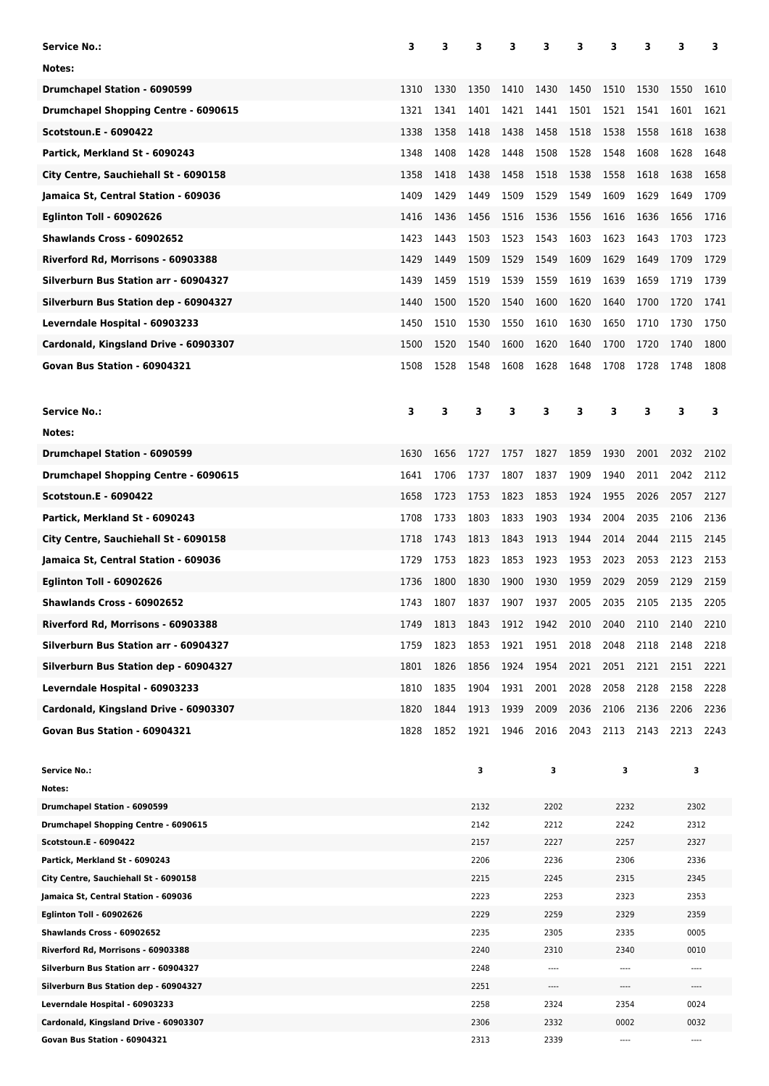| Service No.:                                                            | 3    | 3    | з            | 3         | 3            | 3    | 3            | з    | 3            | 3    |
|-------------------------------------------------------------------------|------|------|--------------|-----------|--------------|------|--------------|------|--------------|------|
| Notes:                                                                  |      |      |              |           |              |      |              |      |              |      |
| <b>Drumchapel Station - 6090599</b>                                     | 1310 | 1330 | 1350         | 1410      | 1430         | 1450 | 1510         | 1530 | 1550         | 1610 |
| Drumchapel Shopping Centre - 6090615                                    | 1321 | 1341 | 1401         | 1421      | 1441         | 1501 | 1521         | 1541 | 1601         | 1621 |
| <b>Scotstoun.E - 6090422</b>                                            | 1338 | 1358 | 1418         | 1438      | 1458         | 1518 | 1538         | 1558 | 1618         | 1638 |
| Partick, Merkland St - 6090243                                          | 1348 | 1408 | 1428         | 1448      | 1508         | 1528 | 1548         | 1608 | 1628         | 1648 |
| City Centre, Sauchiehall St - 6090158                                   | 1358 | 1418 | 1438         | 1458      | 1518         | 1538 | 1558         | 1618 | 1638         | 1658 |
| Jamaica St, Central Station - 609036                                    | 1409 | 1429 | 1449         | 1509      | 1529         | 1549 | 1609         | 1629 | 1649         | 1709 |
| <b>Eglinton Toll - 60902626</b>                                         | 1416 | 1436 | 1456         | 1516      | 1536         | 1556 | 1616         | 1636 | 1656         | 1716 |
| Shawlands Cross - 60902652                                              | 1423 | 1443 | 1503         | 1523      | 1543         | 1603 | 1623         | 1643 | 1703         | 1723 |
|                                                                         |      |      |              |           |              |      |              |      |              |      |
| Riverford Rd, Morrisons - 60903388                                      | 1429 | 1449 | 1509         | 1529      | 1549         | 1609 | 1629         | 1649 | 1709         | 1729 |
| Silverburn Bus Station arr - 60904327                                   | 1439 | 1459 | 1519         | 1539      | 1559         | 1619 | 1639         | 1659 | 1719         | 1739 |
| Silverburn Bus Station dep - 60904327                                   | 1440 | 1500 | 1520         | 1540      | 1600         | 1620 | 1640         | 1700 | 1720         | 1741 |
| Leverndale Hospital - 60903233                                          | 1450 | 1510 | 1530         | 1550      | 1610         | 1630 | 1650         | 1710 | 1730         | 1750 |
| Cardonald, Kingsland Drive - 60903307                                   | 1500 | 1520 | 1540         | 1600      | 1620         | 1640 | 1700         | 1720 | 1740         | 1800 |
| Govan Bus Station - 60904321                                            | 1508 | 1528 | 1548         | 1608      | 1628         | 1648 | 1708         | 1728 | 1748         | 1808 |
| <b>Service No.:</b>                                                     | 3    | 3    | 3            | 3         | 3            | 3    | з            | 3    | 3            | 3    |
| Notes:                                                                  |      |      |              |           |              |      |              |      |              |      |
| <b>Drumchapel Station - 6090599</b>                                     | 1630 | 1656 | 1727         | 1757      | 1827         | 1859 | 1930         | 2001 | 2032         | 2102 |
| <b>Drumchapel Shopping Centre - 6090615</b>                             | 1641 | 1706 | 1737         | 1807      | 1837         | 1909 | 1940         | 2011 | 2042         | 2112 |
| <b>Scotstoun.E - 6090422</b>                                            | 1658 | 1723 | 1753         | 1823      | 1853         | 1924 | 1955         | 2026 | 2057         | 2127 |
| Partick, Merkland St - 6090243                                          | 1708 | 1733 | 1803         | 1833      | 1903         | 1934 | 2004         | 2035 | 2106         | 2136 |
| City Centre, Sauchiehall St - 6090158                                   | 1718 | 1743 | 1813         | 1843      | 1913         | 1944 | 2014         | 2044 | 2115         | 2145 |
|                                                                         |      |      |              |           |              |      |              |      |              |      |
| Jamaica St, Central Station - 609036                                    | 1729 | 1753 | 1823         | 1853      | 1923         | 1953 | 2023         | 2053 | 2123         | 2153 |
| <b>Eglinton Toll - 60902626</b>                                         | 1736 | 1800 | 1830         | 1900      | 1930         | 1959 | 2029         | 2059 | 2129         | 2159 |
| Shawlands Cross - 60902652                                              | 1743 | 1807 | 1837         | 1907      | 1937         | 2005 | 2035         | 2105 | 2135         | 2205 |
| Riverford Rd, Morrisons - 60903388                                      | 1749 | 1813 | 1843         | 1912 1942 |              | 2010 | 2040         | 2110 | 2140         | 2210 |
| Silverburn Bus Station arr - 60904327                                   | 1759 | 1823 | 1853         | 1921      | 1951         | 2018 | 2048         | 2118 | 2148         | 2218 |
| Silverburn Bus Station dep - 60904327                                   | 1801 | 1826 | 1856         | 1924      | 1954         | 2021 | 2051         | 2121 | 2151         | 2221 |
| Leverndale Hospital - 60903233                                          | 1810 | 1835 | 1904         | 1931      | 2001         | 2028 | 2058         | 2128 | 2158         | 2228 |
| Cardonald, Kingsland Drive - 60903307                                   | 1820 | 1844 | 1913         | 1939      | 2009         | 2036 | 2106         | 2136 | 2206         | 2236 |
| Govan Bus Station - 60904321                                            | 1828 | 1852 | 1921         | 1946      | 2016         | 2043 | 2113         | 2143 | 2213         | 2243 |
| <b>Service No.:</b>                                                     |      |      | 3            |           | 3            |      | з            |      | 3            |      |
| Notes:                                                                  |      |      |              |           |              |      |              |      |              |      |
| Drumchapel Station - 6090599                                            |      |      | 2132         |           | 2202         |      | 2232         |      | 2302         |      |
| Drumchapel Shopping Centre - 6090615                                    |      |      | 2142         |           | 2212         |      | 2242         |      | 2312         |      |
| Scotstoun.E - 6090422                                                   |      |      | 2157         |           | 2227         |      | 2257         |      | 2327         |      |
| Partick, Merkland St - 6090243<br>City Centre, Sauchiehall St - 6090158 |      |      | 2206<br>2215 |           | 2236<br>2245 |      | 2306<br>2315 |      | 2336<br>2345 |      |
| Jamaica St, Central Station - 609036                                    |      |      | 2223         |           | 2253         |      | 2323         |      | 2353         |      |
| <b>Eglinton Toll - 60902626</b>                                         |      |      | 2229         |           | 2259         |      | 2329         |      | 2359         |      |
| Shawlands Cross - 60902652                                              |      |      | 2235         |           | 2305         |      | 2335         |      | 0005         |      |
| Riverford Rd, Morrisons - 60903388                                      |      |      | 2240         |           | 2310         |      | 2340         |      | 0010         |      |
| Silverburn Bus Station arr - 60904327                                   |      |      | 2248         |           | $\cdots$     |      | $\cdots$     |      | $\cdots$     |      |
| Silverburn Bus Station dep - 60904327                                   |      |      | 2251         |           | $\cdots$     |      | ----         |      | ----         |      |
| Leverndale Hospital - 60903233                                          |      |      | 2258         |           | 2324         |      | 2354         |      | 0024         |      |
| Cardonald, Kingsland Drive - 60903307<br>Govan Bus Station - 60904321   |      |      | 2306<br>2313 |           | 2332<br>2339 |      | 0002<br>---- |      | 0032<br>---- |      |
|                                                                         |      |      |              |           |              |      |              |      |              |      |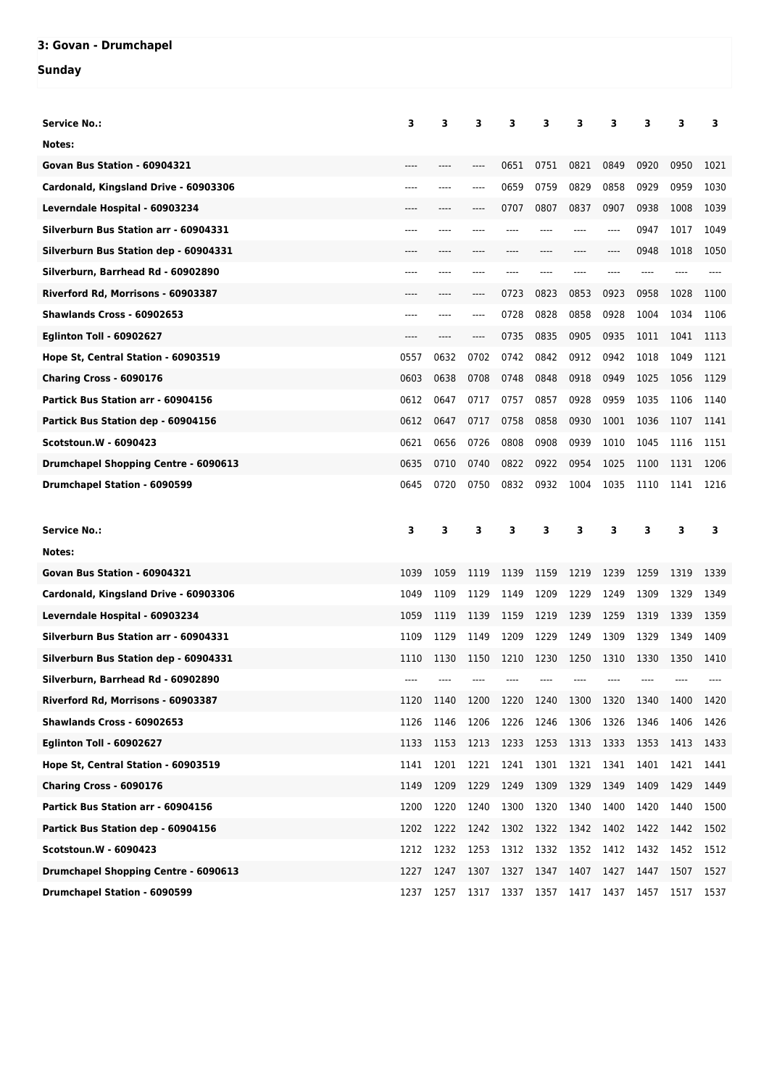## **3: Govan - Drumchapel**

## **Sunday**

| <b>Service No.:</b>                         | 3    | 3    | з    | 3    | 3         | з    | з     | 3    | 3    | 3    |
|---------------------------------------------|------|------|------|------|-----------|------|-------|------|------|------|
| Notes:                                      |      |      |      |      |           |      |       |      |      |      |
| Govan Bus Station - 60904321                |      |      |      | 0651 | 0751      | 0821 | 0849  | 0920 | 0950 | 1021 |
| Cardonald, Kingsland Drive - 60903306       | ---- |      | ---- | 0659 | 0759      | 0829 | 0858  | 0929 | 0959 | 1030 |
| Leverndale Hospital - 60903234              | ---- |      |      | 0707 | 0807      | 0837 | 0907  | 0938 | 1008 | 1039 |
| Silverburn Bus Station arr - 60904331       | ---- |      |      |      |           | ---- | $---$ | 0947 | 1017 | 1049 |
| Silverburn Bus Station dep - 60904331       |      |      |      |      |           |      | ----  | 0948 | 1018 | 1050 |
| Silverburn, Barrhead Rd - 60902890          | ---- |      |      |      |           |      |       |      |      |      |
| Riverford Rd, Morrisons - 60903387          | ---- | ---- | ---- | 0723 | 0823      | 0853 | 0923  | 0958 | 1028 | 1100 |
| Shawlands Cross - 60902653                  | ---- |      |      | 0728 | 0828      | 0858 | 0928  | 1004 | 1034 | 1106 |
| <b>Eglinton Toll - 60902627</b>             |      |      | ---- | 0735 | 0835      | 0905 | 0935  | 1011 | 1041 | 1113 |
| Hope St, Central Station - 60903519         | 0557 | 0632 | 0702 | 0742 | 0842      | 0912 | 0942  | 1018 | 1049 | 1121 |
| Charing Cross - 6090176                     | 0603 | 0638 | 0708 | 0748 | 0848      | 0918 | 0949  | 1025 | 1056 | 1129 |
| Partick Bus Station arr - 60904156          | 0612 | 0647 | 0717 | 0757 | 0857      | 0928 | 0959  | 1035 | 1106 | 1140 |
| Partick Bus Station dep - 60904156          | 0612 | 0647 | 0717 | 0758 | 0858      | 0930 | 1001  | 1036 | 1107 | 1141 |
| <b>Scotstoun.W - 6090423</b>                | 0621 | 0656 | 0726 | 0808 | 0908      | 0939 | 1010  | 1045 | 1116 | 1151 |
| <b>Drumchapel Shopping Centre - 6090613</b> | 0635 | 0710 | 0740 | 0822 | 0922      | 0954 | 1025  | 1100 | 1131 | 1206 |
| <b>Drumchapel Station - 6090599</b>         | 0645 | 0720 | 0750 | 0832 | 0932      | 1004 | 1035  | 1110 | 1141 | 1216 |
|                                             |      |      |      |      |           |      |       |      |      |      |
|                                             |      |      |      |      |           |      |       |      |      |      |
| <b>Service No.:</b>                         | 3    | 3    | з    | 3    | 3         | з    | 3     | 3    | 3    | 3    |
| Notes:                                      |      |      |      |      |           |      |       |      |      |      |
| Govan Bus Station - 60904321                | 1039 | 1059 | 1119 | 1139 | 1159      | 1219 | 1239  | 1259 | 1319 | 1339 |
| Cardonald, Kingsland Drive - 60903306       | 1049 | 1109 | 1129 | 1149 | 1209      | 1229 | 1249  | 1309 | 1329 | 1349 |
| Leverndale Hospital - 60903234              | 1059 | 1119 | 1139 | 1159 | 1219      | 1239 | 1259  | 1319 | 1339 | 1359 |
| Silverburn Bus Station arr - 60904331       | 1109 | 1129 | 1149 | 1209 | 1229      | 1249 | 1309  | 1329 | 1349 | 1409 |
| Silverburn Bus Station dep - 60904331       | 1110 | 1130 | 1150 | 1210 | 1230      | 1250 | 1310  | 1330 | 1350 | 1410 |
| Silverburn, Barrhead Rd - 60902890          |      |      |      |      |           |      |       |      |      |      |
| Riverford Rd, Morrisons - 60903387          | 1120 | 1140 | 1200 | 1220 | 1240      | 1300 | 1320  | 1340 | 1400 | 1420 |
| Shawlands Cross - 60902653                  | 1126 | 1146 | 1206 | 1226 | 1246      | 1306 | 1326  | 1346 | 1406 | 1426 |
| <b>Eglinton Toll - 60902627</b>             | 1133 | 1153 | 1213 | 1233 | 1253 1313 |      | 1333  | 1353 | 1413 | 1433 |
| Hope St, Central Station - 60903519         | 1141 | 1201 | 1221 | 1241 | 1301      | 1321 | 1341  | 1401 | 1421 | 1441 |
| Charing Cross - 6090176                     | 1149 | 1209 | 1229 | 1249 | 1309      | 1329 | 1349  | 1409 | 1429 | 1449 |
| Partick Bus Station arr - 60904156          | 1200 | 1220 | 1240 | 1300 | 1320      | 1340 | 1400  | 1420 | 1440 | 1500 |
| Partick Bus Station dep - 60904156          | 1202 | 1222 | 1242 | 1302 | 1322 1342 |      | 1402  | 1422 | 1442 | 1502 |
| Scotstoun.W - 6090423                       | 1212 | 1232 | 1253 | 1312 | 1332      | 1352 | 1412  | 1432 | 1452 | 1512 |
| <b>Drumchapel Shopping Centre - 6090613</b> | 1227 | 1247 | 1307 | 1327 | 1347      | 1407 | 1427  | 1447 | 1507 | 1527 |